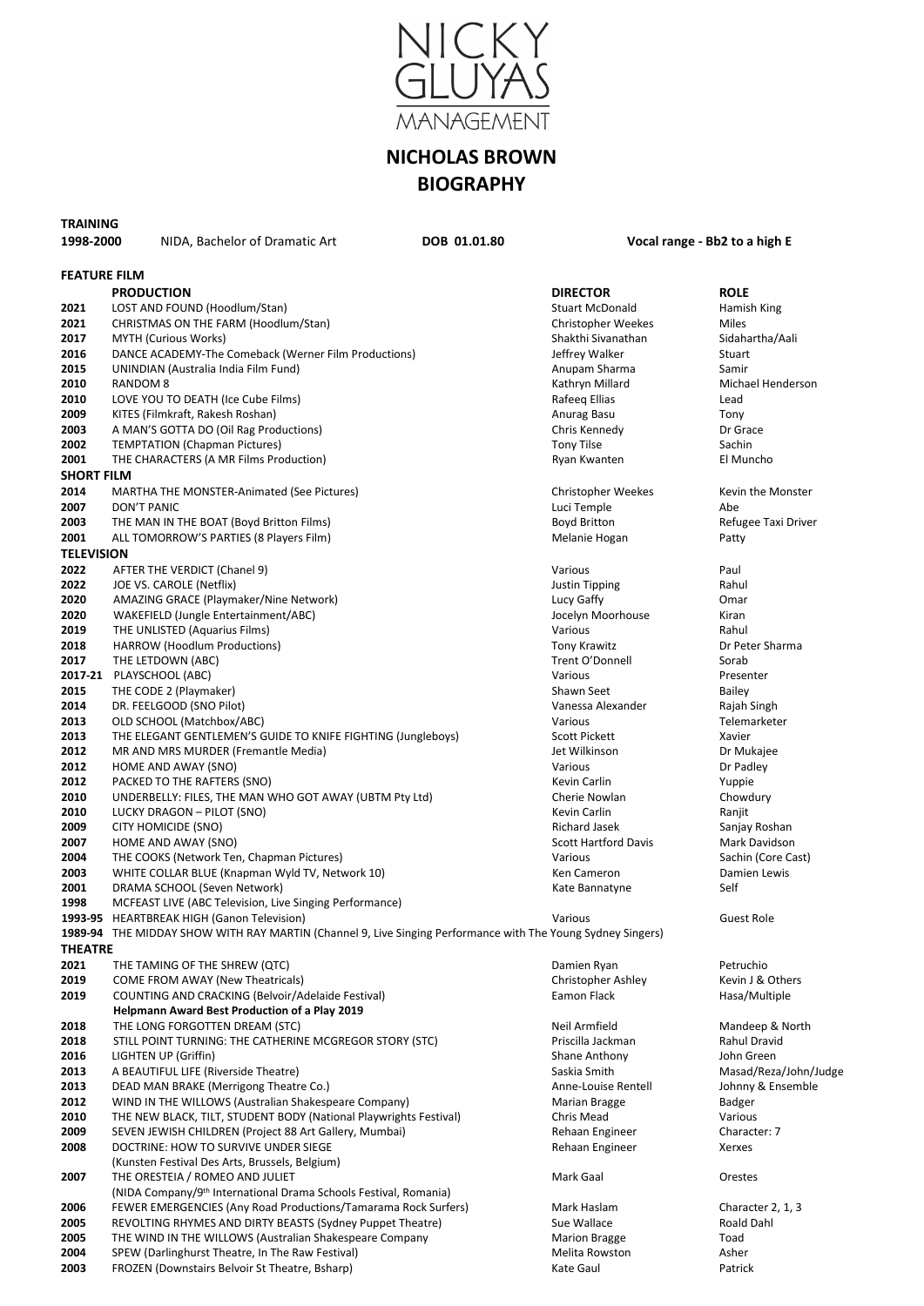

# **NICHOLAS BROWN BIOGRAPHY**

# **TRAINING**

### **1998-2000** NIDA, Bachelor of Dramatic Art **DOB 01.01.80 Vocal range - Bb2 to a high E**

| <b>FEATURE FILM</b> |                                                                                                             |                                        |                          |
|---------------------|-------------------------------------------------------------------------------------------------------------|----------------------------------------|--------------------------|
|                     | <b>PRODUCTION</b>                                                                                           | <b>DIRECTOR</b>                        | <b>ROLE</b>              |
| 2021                | LOST AND FOUND (Hoodlum/Stan)                                                                               | <b>Stuart McDonald</b>                 | Hamish King              |
| 2021                | CHRISTMAS ON THE FARM (Hoodlum/Stan)                                                                        | Christopher Weekes                     | Miles                    |
| 2017                | <b>MYTH (Curious Works)</b>                                                                                 | Shakthi Sivanathan                     | Sidahartha/Aali          |
| 2016                | DANCE ACADEMY-The Comeback (Werner Film Productions)                                                        | Jeffrey Walker                         | Stuart                   |
| 2015                | UNINDIAN (Australia India Film Fund)                                                                        | Anupam Sharma                          | Samir                    |
| 2010                | <b>RANDOM 8</b>                                                                                             | Kathryn Millard                        | Michael Henderson        |
| 2010                | LOVE YOU TO DEATH (Ice Cube Films)                                                                          | Rafeeq Ellias                          | Lead                     |
| 2009                | KITES (Filmkraft, Rakesh Roshan)                                                                            | Anurag Basu                            | Tony                     |
| 2003                | A MAN'S GOTTA DO (Oil Rag Productions)                                                                      | Chris Kennedy                          | Dr Grace                 |
| 2002                | <b>TEMPTATION (Chapman Pictures)</b>                                                                        | <b>Tony Tilse</b>                      | Sachin                   |
| 2001                | THE CHARACTERS (A MR Films Production)                                                                      | Ryan Kwanten                           | El Muncho                |
| <b>SHORT FILM</b>   |                                                                                                             |                                        |                          |
| 2014                | <b>MARTHA THE MONSTER-Animated (See Pictures)</b>                                                           | Christopher Weekes                     | Kevin the Monster        |
| 2007                | DON'T PANIC                                                                                                 | Luci Temple                            | Abe                      |
| 2003                | THE MAN IN THE BOAT (Boyd Britton Films)                                                                    | Boyd Britton                           | Refugee Taxi Driver      |
| 2001                | ALL TOMORROW'S PARTIES (8 Players Film)                                                                     | Melanie Hogan                          | Patty                    |
| <b>TELEVISION</b>   |                                                                                                             |                                        |                          |
| 2022                | AFTER THE VERDICT (Chanel 9)                                                                                | Various                                | Paul                     |
| 2022                | JOE VS. CAROLE (Netflix)                                                                                    | <b>Justin Tipping</b>                  | Rahul                    |
| 2020                | AMAZING GRACE (Playmaker/Nine Network)                                                                      | Lucy Gaffy                             | Omar                     |
| 2020                | WAKEFIELD (Jungle Entertainment/ABC)                                                                        | Jocelyn Moorhouse                      | Kiran                    |
| 2019                | THE UNLISTED (Aquarius Films)                                                                               | Various                                | Rahul                    |
| 2018<br>2017        | HARROW (Hoodlum Productions)                                                                                | <b>Tony Krawitz</b><br>Trent O'Donnell | Dr Peter Sharma<br>Sorab |
|                     | THE LETDOWN (ABC)<br>2017-21 PLAYSCHOOL (ABC)                                                               | Various                                | Presenter                |
| 2015                | THE CODE 2 (Playmaker)                                                                                      | Shawn Seet                             | Bailey                   |
| 2014                | DR. FEELGOOD (SNO Pilot)                                                                                    | Vanessa Alexander                      | Rajah Singh              |
| 2013                | OLD SCHOOL (Matchbox/ABC)                                                                                   | Various                                | Telemarketer             |
| 2013                | THE ELEGANT GENTLEMEN'S GUIDE TO KNIFE FIGHTING (Jungleboys)                                                | <b>Scott Pickett</b>                   | Xavier                   |
| 2012                | MR AND MRS MURDER (Fremantle Media)                                                                         | Jet Wilkinson                          | Dr Mukajee               |
| 2012                | HOME AND AWAY (SNO)                                                                                         | Various                                | Dr Padley                |
| 2012                | PACKED TO THE RAFTERS (SNO)                                                                                 | Kevin Carlin                           | Yuppie                   |
| 2010                | UNDERBELLY: FILES, THE MAN WHO GOT AWAY (UBTM Pty Ltd)                                                      | Cherie Nowlan                          | Chowdury                 |
| 2010                | LUCKY DRAGON - PILOT (SNO)                                                                                  | Kevin Carlin                           | Ranjit                   |
| 2009                | CITY HOMICIDE (SNO)                                                                                         | Richard Jasek                          | Sanjay Roshan            |
| 2007                | HOME AND AWAY (SNO)                                                                                         | <b>Scott Hartford Davis</b>            | Mark Davidson            |
| 2004                | THE COOKS (Network Ten, Chapman Pictures)                                                                   | Various                                | Sachin (Core Cast)       |
| 2003                | WHITE COLLAR BLUE (Knapman Wyld TV, Network 10)                                                             | Ken Cameron                            | Damien Lewis             |
| 2001                | DRAMA SCHOOL (Seven Network)                                                                                | Kate Bannatyne                         | Self                     |
| 1998                | MCFEAST LIVE (ABC Television, Live Singing Performance)                                                     |                                        |                          |
|                     | 1993-95 HEARTBREAK HIGH (Ganon Television)                                                                  | Various                                | <b>Guest Role</b>        |
|                     | 1989-94 THE MIDDAY SHOW WITH RAY MARTIN (Channel 9, Live Singing Performance with The Young Sydney Singers) |                                        |                          |
| <b>THEATRE</b>      |                                                                                                             |                                        |                          |
| 2021                | THE TAMING OF THE SHREW (QTC)                                                                               | Damien Ryan                            | Petruchio                |
| 2019                | COME FROM AWAY (New Theatricals)                                                                            | Christopher Ashley                     | Kevin J & Others         |
| 2019                | COUNTING AND CRACKING (Belvoir/Adelaide Festival)                                                           | Eamon Flack                            | Hasa/Multiple            |
| 2018                | <b>Helpmann Award Best Production of a Play 2019</b><br>THE LONG FORGOTTEN DREAM (STC)                      | Neil Armfield                          | Mandeep & North          |
| 2018                | STILL POINT TURNING: THE CATHERINE MCGREGOR STORY (STC)                                                     | Priscilla Jackman                      | <b>Rahul Dravid</b>      |
| 2016                | LIGHTEN UP (Griffin)                                                                                        | <b>Shane Anthony</b>                   | John Green               |
| 2013                | A BEAUTIFUL LIFE (Riverside Theatre)                                                                        | Saskia Smith                           | Masad/Reza/John/Judge    |
| 2013                | DEAD MAN BRAKE (Merrigong Theatre Co.)                                                                      | Anne-Louise Rentell                    | Johnny & Ensemble        |
| 2012                | WIND IN THE WILLOWS (Australian Shakespeare Company)                                                        | Marian Bragge                          | Badger                   |
| 2010                | THE NEW BLACK, TILT, STUDENT BODY (National Playwrights Festival)                                           | Chris Mead                             | Various                  |
| 2009                | SEVEN JEWISH CHILDREN (Project 88 Art Gallery, Mumbai)                                                      | Rehaan Engineer                        | Character: 7             |
| 2008                | DOCTRINE: HOW TO SURVIVE UNDER SIEGE                                                                        | Rehaan Engineer                        | Xerxes                   |
|                     | (Kunsten Festival Des Arts, Brussels, Belgium)                                                              |                                        |                          |
| 2007                | THE ORESTEIA / ROMEO AND JULIET                                                                             | Mark Gaal                              | Orestes                  |
|                     | (NIDA Company/9 <sup>th</sup> International Drama Schools Festival, Romania)                                |                                        |                          |
| 2006                | FEWER EMERGENCIES (Any Road Productions/Tamarama Rock Surfers)                                              | Mark Haslam                            | Character 2, 1, 3        |
| 2005                | REVOLTING RHYMES AND DIRTY BEASTS (Sydney Puppet Theatre)                                                   | Sue Wallace                            | Roald Dahl               |
| 2005                | THE WIND IN THE WILLOWS (Australian Shakespeare Company                                                     | <b>Marion Bragge</b>                   | Toad                     |
| 2004                | SPEW (Darlinghurst Theatre, In The Raw Festival)                                                            | Melita Rowston                         | Asher                    |
| 2003                | FROZEN (Downstairs Belvoir St Theatre, Bsharp)                                                              | Kate Gaul                              | Patrick                  |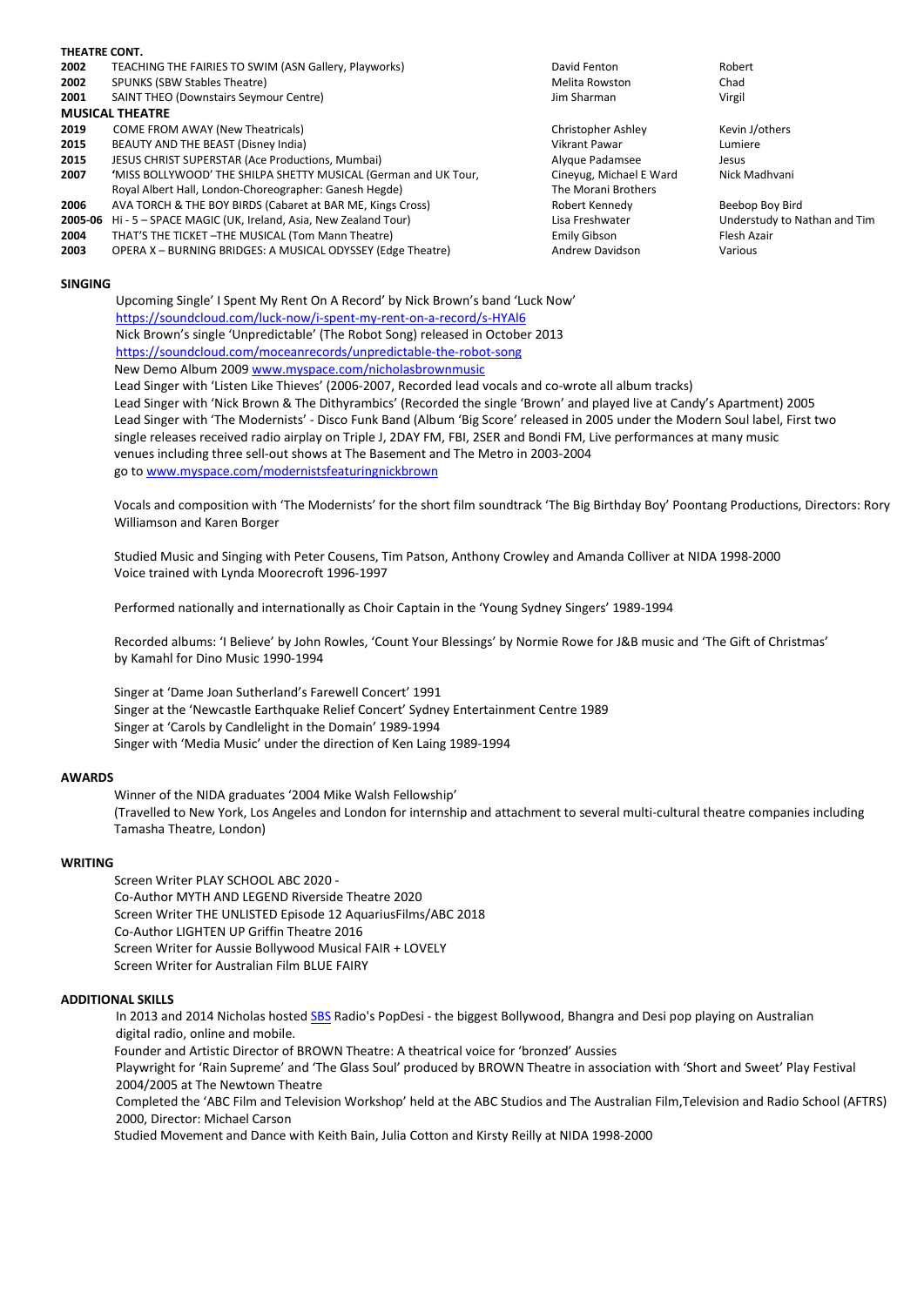| THEATRE CONT. |                                                                 |                         |                              |
|---------------|-----------------------------------------------------------------|-------------------------|------------------------------|
| 2002          | TEACHING THE FAIRIES TO SWIM (ASN Gallery, Playworks)           | David Fenton            | Robert                       |
| 2002          | SPUNKS (SBW Stables Theatre)                                    | Melita Rowston          | Chad                         |
| 2001          | <b>SAINT THEO (Downstairs Seymour Centre)</b>                   | Jim Sharman             | Virgil                       |
|               | <b>MUSICAL THEATRE</b>                                          |                         |                              |
| 2019          | COME FROM AWAY (New Theatricals)                                | Christopher Ashley      | Kevin J/others               |
| 2015          | BEAUTY AND THE BEAST (Disney India)                             | Vikrant Pawar           | Lumiere                      |
| 2015          | JESUS CHRIST SUPERSTAR (Ace Productions, Mumbai)                | Alygue Padamsee         | Jesus                        |
| 2007          | 'MISS BOLLYWOOD' THE SHILPA SHETTY MUSICAL (German and UK Tour, | Cineyug, Michael E Ward | Nick Madhvani                |
|               | Royal Albert Hall, London-Choreographer: Ganesh Hegde)          | The Morani Brothers     |                              |
| 2006          | AVA TORCH & THE BOY BIRDS (Cabaret at BAR ME, Kings Cross)      | Robert Kennedy          | Beebop Boy Bird              |
| 2005-06       | Hi - 5 - SPACE MAGIC (UK, Ireland, Asia, New Zealand Tour)      | Lisa Freshwater         | Understudy to Nathan and Tim |
| 2004          | THAT'S THE TICKET - THE MUSICAL (Tom Mann Theatre)              | <b>Emily Gibson</b>     | Flesh Azair                  |
| 2003          | OPERA X - BURNING BRIDGES: A MUSICAL ODYSSEY (Edge Theatre)     | <b>Andrew Davidson</b>  | Various                      |
|               |                                                                 |                         |                              |
|               |                                                                 |                         |                              |

#### **SINGING**

Upcoming Single' I Spent My Rent On A Record' by Nick Brown's band 'Luck Now' <https://soundcloud.com/luck-now/i-spent-my-rent-on-a-record/s-HYAl6> Nick Brown's single 'Unpredictable' (The Robot Song) released in October 2013 <https://soundcloud.com/moceanrecords/unpredictable-the-robot-song> New Demo Album 2009 [www.myspace.com/nicholasbrownmusic](http://www.myspace.com/nicholasbrownmusic)

Lead Singer with 'Listen Like Thieves' (2006-2007, Recorded lead vocals and co-wrote all album tracks) Lead Singer with 'Nick Brown & The Dithyrambics' (Recorded the single 'Brown' and played live at Candy's Apartment) 2005 Lead Singer with 'The Modernists' - Disco Funk Band (Album 'Big Score' released in 2005 under the Modern Soul label, First two single releases received radio airplay on Triple J, 2DAY FM, FBI, 2SER and Bondi FM, Live performances at many music venues including three sell-out shows at The Basement and The Metro in 2003-2004 go t[o www.myspace.com/modernistsfeaturingnickbrown](http://www.myspace.com/modernistsfeaturingnickbrown)

Vocals and composition with 'The Modernists' for the short film soundtrack 'The Big Birthday Boy' Poontang Productions, Directors: Rory Williamson and Karen Borger

Studied Music and Singing with Peter Cousens, Tim Patson, Anthony Crowley and Amanda Colliver at NIDA 1998-2000 Voice trained with Lynda Moorecroft 1996-1997

Performed nationally and internationally as Choir Captain in the 'Young Sydney Singers' 1989-1994

Recorded albums: 'I Believe' by John Rowles, 'Count Your Blessings' by Normie Rowe for J&B music and 'The Gift of Christmas' by Kamahl for Dino Music 1990-1994

Singer at 'Dame Joan Sutherland's Farewell Concert' 1991 Singer at the 'Newcastle Earthquake Relief Concert' Sydney Entertainment Centre 1989 Singer at 'Carols by Candlelight in the Domain' 1989-1994 Singer with 'Media Music' under the direction of Ken Laing 1989-1994

#### **AWARDS**

Winner of the NIDA graduates '2004 Mike Walsh Fellowship' (Travelled to New York, Los Angeles and London for internship and attachment to several multi-cultural theatre companies including Tamasha Theatre, London)

#### **WRITING**

Screen Writer PLAY SCHOOL ABC 2020 - Co-Author MYTH AND LEGEND Riverside Theatre 2020 Screen Writer THE UNLISTED Episode 12 AquariusFilms/ABC 2018 Co-Author LIGHTEN UP Griffin Theatre 2016 Screen Writer for Aussie Bollywood Musical FAIR + LOVELY Screen Writer for Australian Film BLUE FAIRY

#### **ADDITIONAL SKILLS**

In 2013 and 2014 Nicholas hosted [SBS](http://en.wikipedia.org/wiki/Special_Broadcasting_Service) Radio's PopDesi - the biggest Bollywood, Bhangra and Desi pop playing on Australian digital radio, online and mobile.

Founder and Artistic Director of BROWN Theatre: A theatrical voice for 'bronzed' Aussies

Playwright for 'Rain Supreme' and 'The Glass Soul' produced by BROWN Theatre in association with 'Short and Sweet' Play Festival 2004/2005 at The Newtown Theatre

Completed the 'ABC Film and Television Workshop' held at the ABC Studios and The Australian Film,Television and Radio School (AFTRS) 2000, Director: Michael Carson

Studied Movement and Dance with Keith Bain, Julia Cotton and Kirsty Reilly at NIDA 1998-2000